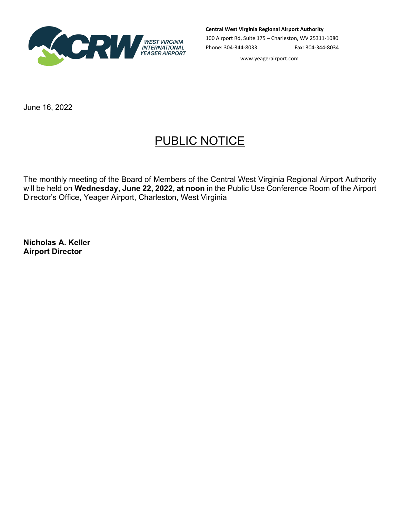

**Central West Virginia Regional Airport Authority**

100 Airport Rd, Suite 175 – Charleston, WV 25311-1080 Phone: 304-344-8033 Fax: 304-344-8034

www.yeagerairport.com

June 16, 2022

## PUBLIC NOTICE

The monthly meeting of the Board of Members of the Central West Virginia Regional Airport Authority will be held on **Wednesday, June 22, 2022, at noon** in the Public Use Conference Room of the Airport Director's Office, Yeager Airport, Charleston, West Virginia

**Nicholas A. Keller Airport Director**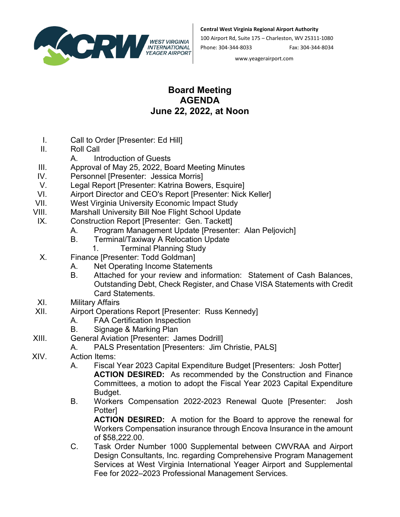

**Central West Virginia Regional Airport Authority**

100 Airport Rd, Suite 175 – Charleston, WV 25311-1080 Phone: 304-344-8033 Fax: 304-344-8034

www.yeagerairport.com

## **Board Meeting AGENDA June 22, 2022, at Noon**

- I. Call to Order [Presenter: Ed Hill]
- II. Roll Call
- A. Introduction of Guests
- III. Approval of May 25, 2022, Board Meeting Minutes
- IV. Personnel [Presenter: Jessica Morris]
- V. Legal Report [Presenter: Katrina Bowers, Esquire]<br>VI. Airport Director and CEO's Report [Presenter: Nick
- Airport Director and CEO's Report [Presenter: Nick Keller]
- VII. West Virginia University Economic Impact Study
- VIII. Marshall University Bill Noe Flight School Update
- IX. Construction Report [Presenter: Gen. Tackett]
	- A. Program Management Update [Presenter: Alan Peljovich]
	- B. Terminal/Taxiway A Relocation Update
		- 1. Terminal Planning Study
- X. Finance [Presenter: Todd Goldman]
	- A. Net Operating Income Statements
		- B. Attached for your review and information: Statement of Cash Balances, Outstanding Debt, Check Register, and Chase VISA Statements with Credit Card Statements.
- XI. Military Affairs
- XII. Airport Operations Report [Presenter: Russ Kennedy]
	- A. FAA Certification Inspection
		- B. Signage & Marking Plan
- XIII. General Aviation [Presenter: James Dodrill]
	- A. PALS Presentation [Presenters: Jim Christie, PALS]
- XIV. Action Items:
	- A. Fiscal Year 2023 Capital Expenditure Budget [Presenters: Josh Potter] **ACTION DESIRED:** As recommended by the Construction and Finance Committees, a motion to adopt the Fiscal Year 2023 Capital Expenditure Budget.
	- B. Workers Compensation 2022-2023 Renewal Quote [Presenter: Josh **Potterl**

**ACTION DESIRED:** A motion for the Board to approve the renewal for Workers Compensation insurance through Encova Insurance in the amount of \$58,222.00.

C. Task Order Number 1000 Supplemental between CWVRAA and Airport Design Consultants, Inc. regarding Comprehensive Program Management Services at West Virginia International Yeager Airport and Supplemental Fee for 2022–2023 Professional Management Services.